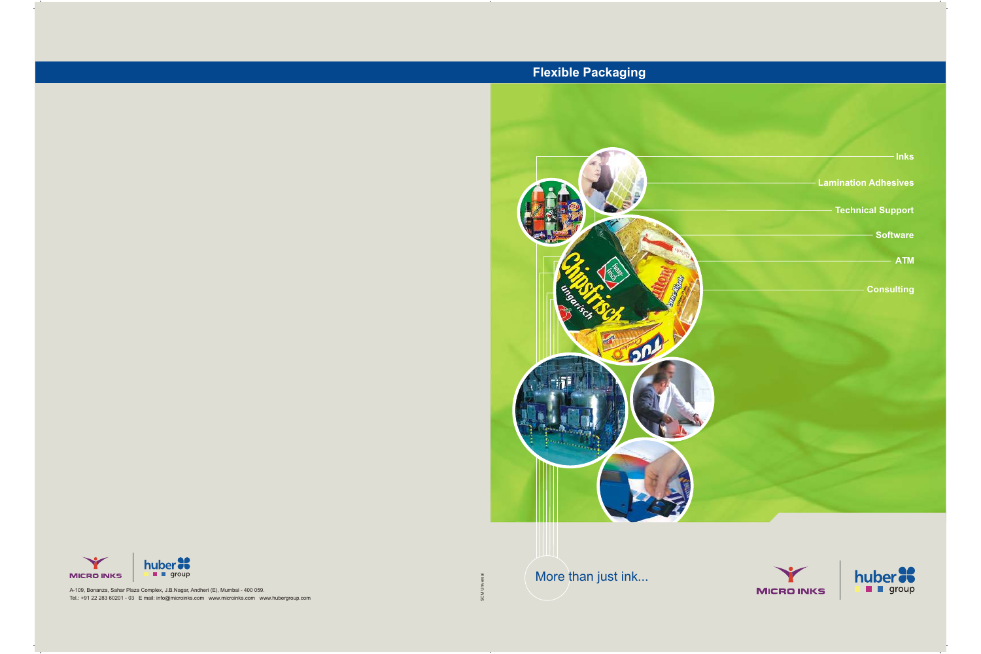A-109, Bonanza, Sahar Plaza Complex, J.B.Nagar, Andheri (E), Mumbai - 400 059. Tel.: +91 22 283 60201 - 03 E mail: info@microinks.com www.microinks.com www.hubergroup.com More than just ink...





## **Flexible Packaging**

SCM Universal